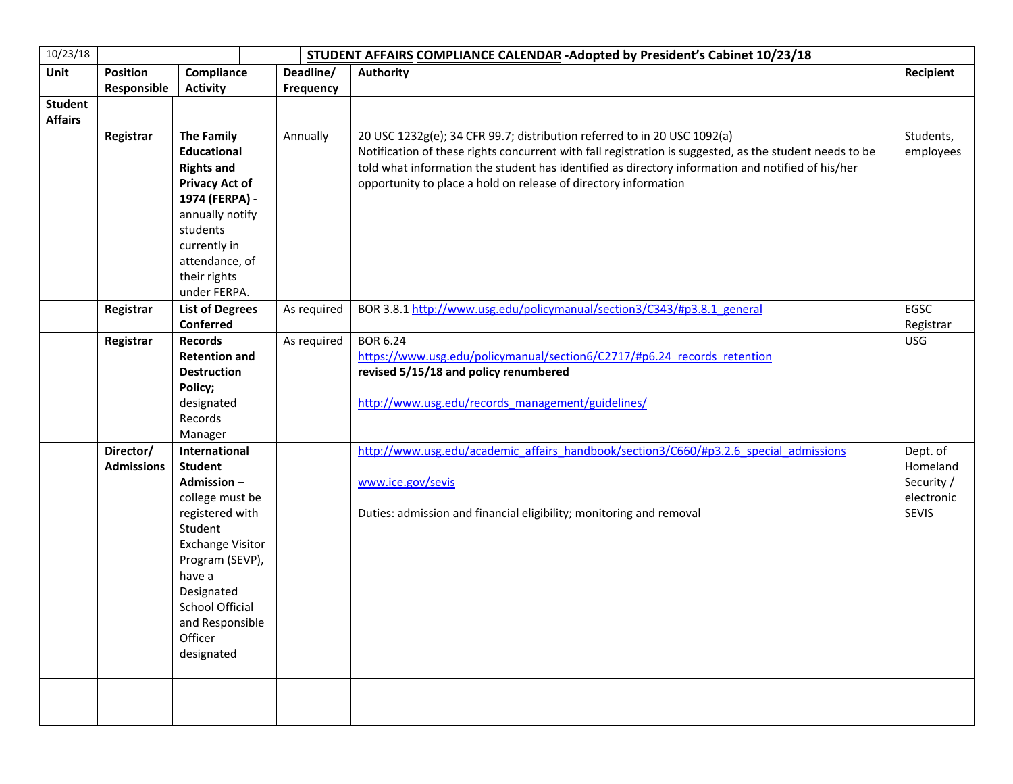| 10/23/18       |                   | STUDENT AFFAIRS COMPLIANCE CALENDAR - Adopted by President's Cabinet 10/23/18 |             |                                                                                                         |                  |
|----------------|-------------------|-------------------------------------------------------------------------------|-------------|---------------------------------------------------------------------------------------------------------|------------------|
| Unit           | <b>Position</b>   | Compliance                                                                    | Deadline/   | <b>Authority</b>                                                                                        | <b>Recipient</b> |
|                | Responsible       | <b>Activity</b>                                                               | Frequency   |                                                                                                         |                  |
| <b>Student</b> |                   |                                                                               |             |                                                                                                         |                  |
| <b>Affairs</b> |                   |                                                                               |             |                                                                                                         |                  |
|                | Registrar         | <b>The Family</b>                                                             | Annually    | 20 USC 1232g(e); 34 CFR 99.7; distribution referred to in 20 USC 1092(a)                                | Students,        |
|                |                   | <b>Educational</b>                                                            |             | Notification of these rights concurrent with fall registration is suggested, as the student needs to be | employees        |
|                |                   | <b>Rights and</b>                                                             |             | told what information the student has identified as directory information and notified of his/her       |                  |
|                |                   | <b>Privacy Act of</b>                                                         |             | opportunity to place a hold on release of directory information                                         |                  |
|                |                   | 1974 (FERPA) -                                                                |             |                                                                                                         |                  |
|                |                   | annually notify                                                               |             |                                                                                                         |                  |
|                |                   | students                                                                      |             |                                                                                                         |                  |
|                |                   | currently in                                                                  |             |                                                                                                         |                  |
|                |                   | attendance, of                                                                |             |                                                                                                         |                  |
|                |                   | their rights                                                                  |             |                                                                                                         |                  |
|                |                   | under FERPA.                                                                  |             |                                                                                                         |                  |
|                | Registrar         | <b>List of Degrees</b>                                                        | As required | BOR 3.8.1 http://www.usg.edu/policymanual/section3/C343/#p3.8.1 general                                 | EGSC             |
|                |                   | <b>Conferred</b>                                                              |             |                                                                                                         | Registrar        |
|                | Registrar         | <b>Records</b>                                                                | As required | <b>BOR 6.24</b>                                                                                         | <b>USG</b>       |
|                |                   | <b>Retention and</b>                                                          |             | https://www.usg.edu/policymanual/section6/C2717/#p6.24 records retention                                |                  |
|                |                   | <b>Destruction</b>                                                            |             | revised 5/15/18 and policy renumbered                                                                   |                  |
|                |                   | Policy;                                                                       |             |                                                                                                         |                  |
|                |                   | designated                                                                    |             | http://www.usg.edu/records management/guidelines/                                                       |                  |
|                |                   | Records                                                                       |             |                                                                                                         |                  |
|                |                   | Manager                                                                       |             |                                                                                                         |                  |
|                | Director/         | International                                                                 |             | http://www.usg.edu/academic affairs handbook/section3/C660/#p3.2.6 special admissions                   | Dept. of         |
|                | <b>Admissions</b> | <b>Student</b>                                                                |             |                                                                                                         | Homeland         |
|                |                   | Admission-                                                                    |             | www.ice.gov/sevis                                                                                       | Security /       |
|                |                   | college must be                                                               |             |                                                                                                         | electronic       |
|                |                   | registered with                                                               |             | Duties: admission and financial eligibility; monitoring and removal                                     | <b>SEVIS</b>     |
|                |                   | Student                                                                       |             |                                                                                                         |                  |
|                |                   | <b>Exchange Visitor</b>                                                       |             |                                                                                                         |                  |
|                |                   | Program (SEVP),                                                               |             |                                                                                                         |                  |
|                |                   | have a                                                                        |             |                                                                                                         |                  |
|                |                   | Designated                                                                    |             |                                                                                                         |                  |
|                |                   | <b>School Official</b>                                                        |             |                                                                                                         |                  |
|                |                   | and Responsible                                                               |             |                                                                                                         |                  |
|                |                   | Officer                                                                       |             |                                                                                                         |                  |
|                |                   | designated                                                                    |             |                                                                                                         |                  |
|                |                   |                                                                               |             |                                                                                                         |                  |
|                |                   |                                                                               |             |                                                                                                         |                  |
|                |                   |                                                                               |             |                                                                                                         |                  |
|                |                   |                                                                               |             |                                                                                                         |                  |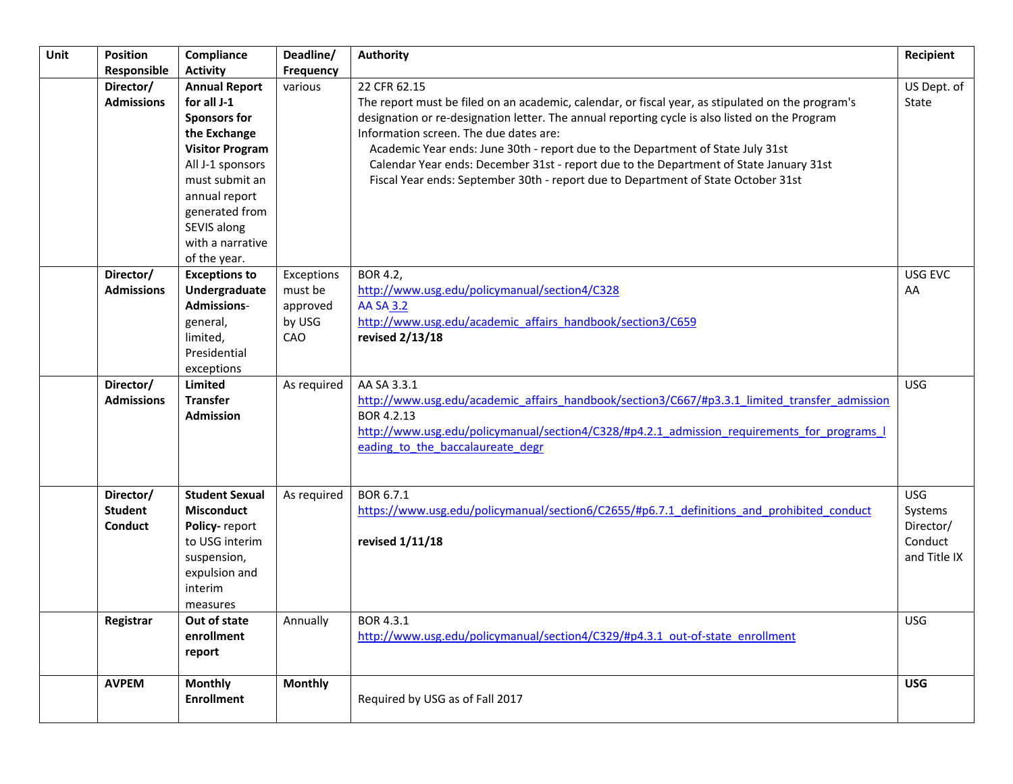| Unit | Position<br>Responsible                       | Compliance<br><b>Activity</b>                                                                                                                                                                                                    | Deadline/<br>Frequency                             | <b>Authority</b>                                                                                                                                                                                                                                                                                                                                                                                                                                                                                                                | Recipient                                                     |
|------|-----------------------------------------------|----------------------------------------------------------------------------------------------------------------------------------------------------------------------------------------------------------------------------------|----------------------------------------------------|---------------------------------------------------------------------------------------------------------------------------------------------------------------------------------------------------------------------------------------------------------------------------------------------------------------------------------------------------------------------------------------------------------------------------------------------------------------------------------------------------------------------------------|---------------------------------------------------------------|
|      | Director/<br><b>Admissions</b>                | <b>Annual Report</b><br>for all J-1<br><b>Sponsors for</b><br>the Exchange<br><b>Visitor Program</b><br>All J-1 sponsors<br>must submit an<br>annual report<br>generated from<br>SEVIS along<br>with a narrative<br>of the year. | various                                            | 22 CFR 62.15<br>The report must be filed on an academic, calendar, or fiscal year, as stipulated on the program's<br>designation or re-designation letter. The annual reporting cycle is also listed on the Program<br>Information screen. The due dates are:<br>Academic Year ends: June 30th - report due to the Department of State July 31st<br>Calendar Year ends: December 31st - report due to the Department of State January 31st<br>Fiscal Year ends: September 30th - report due to Department of State October 31st | US Dept. of<br>State                                          |
|      | Director/<br><b>Admissions</b>                | <b>Exceptions to</b><br>Undergraduate<br><b>Admissions-</b><br>general,<br>limited,<br>Presidential<br>exceptions                                                                                                                | Exceptions<br>must be<br>approved<br>by USG<br>CAO | BOR 4.2,<br>http://www.usg.edu/policymanual/section4/C328<br><b>AA SA 3.2</b><br>http://www.usg.edu/academic affairs handbook/section3/C659<br>revised 2/13/18                                                                                                                                                                                                                                                                                                                                                                  | USG EVC<br>AA                                                 |
|      | Director/<br><b>Admissions</b>                | <b>Limited</b><br><b>Transfer</b><br><b>Admission</b>                                                                                                                                                                            | As required                                        | AA SA 3.3.1<br>http://www.usg.edu/academic affairs handbook/section3/C667/#p3.3.1 limited transfer admission<br>BOR 4.2.13<br>http://www.usg.edu/policymanual/section4/C328/#p4.2.1 admission requirements for programs I<br>eading to the baccalaureate degr                                                                                                                                                                                                                                                                   | <b>USG</b>                                                    |
|      | Director/<br><b>Student</b><br><b>Conduct</b> | <b>Student Sexual</b><br><b>Misconduct</b><br>Policy-report<br>to USG interim<br>suspension,<br>expulsion and<br>interim<br>measures                                                                                             | As required                                        | BOR 6.7.1<br>https://www.usg.edu/policymanual/section6/C2655/#p6.7.1 definitions and prohibited conduct<br>revised 1/11/18                                                                                                                                                                                                                                                                                                                                                                                                      | <b>USG</b><br>Systems<br>Director/<br>Conduct<br>and Title IX |
|      | Registrar                                     | Out of state<br>enrollment<br>report                                                                                                                                                                                             | Annually                                           | BOR 4.3.1<br>http://www.usg.edu/policymanual/section4/C329/#p4.3.1 out-of-state enrollment                                                                                                                                                                                                                                                                                                                                                                                                                                      | <b>USG</b>                                                    |
|      | <b>AVPEM</b>                                  | <b>Monthly</b><br><b>Enrollment</b>                                                                                                                                                                                              | <b>Monthly</b>                                     | Required by USG as of Fall 2017                                                                                                                                                                                                                                                                                                                                                                                                                                                                                                 | <b>USG</b>                                                    |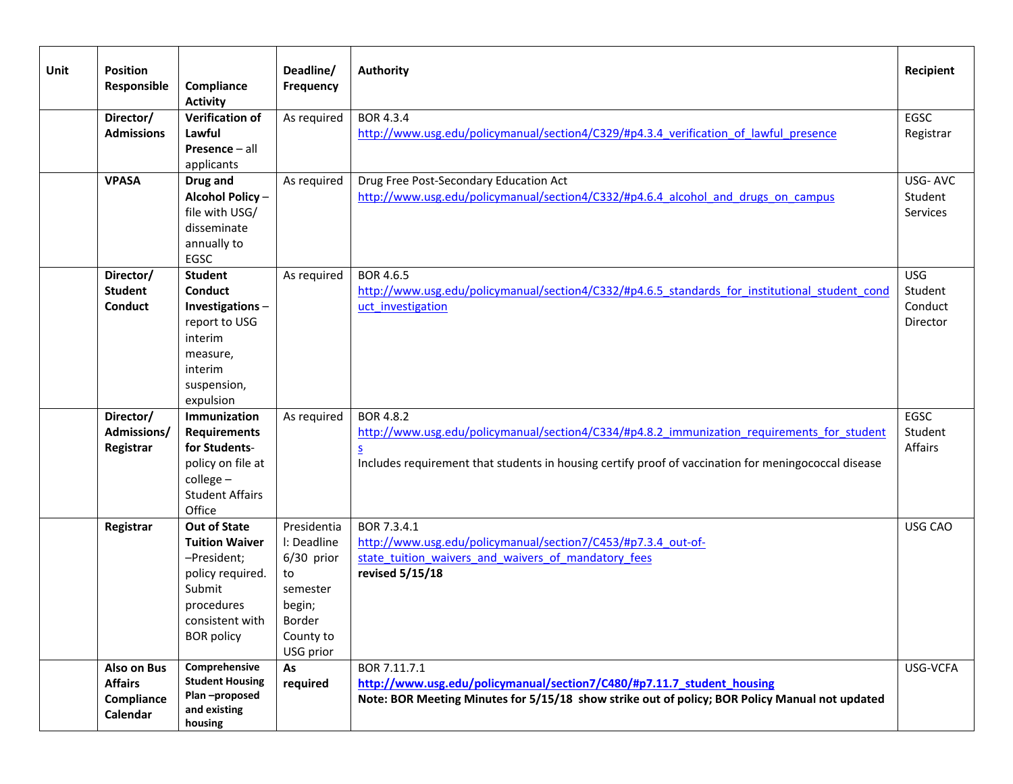| Unit | <b>Position</b><br>Responsible                          | Compliance<br><b>Activity</b>                                                                                                                   | Deadline/<br>Frequency                                                                                   | <b>Authority</b>                                                                                                                                                                                                                                                | Recipient                                    |
|------|---------------------------------------------------------|-------------------------------------------------------------------------------------------------------------------------------------------------|----------------------------------------------------------------------------------------------------------|-----------------------------------------------------------------------------------------------------------------------------------------------------------------------------------------------------------------------------------------------------------------|----------------------------------------------|
|      | Director/<br><b>Admissions</b>                          | <b>Verification of</b><br>Lawful<br>Presence - all<br>applicants                                                                                | As required                                                                                              | BOR 4.3.4<br>http://www.usg.edu/policymanual/section4/C329/#p4.3.4 verification of lawful presence                                                                                                                                                              | EGSC<br>Registrar                            |
|      | <b>VPASA</b>                                            | Drug and<br>Alcohol Policy-<br>file with USG/<br>disseminate<br>annually to<br>EGSC                                                             | As required                                                                                              | Drug Free Post-Secondary Education Act<br>http://www.usg.edu/policymanual/section4/C332/#p4.6.4 alcohol and drugs on campus                                                                                                                                     | USG-AVC<br>Student<br>Services               |
|      | Director/<br><b>Student</b><br><b>Conduct</b>           | <b>Student</b><br><b>Conduct</b><br>Investigations-<br>report to USG<br>interim<br>measure,<br>interim<br>suspension,<br>expulsion              | As required                                                                                              | BOR 4.6.5<br>http://www.usg.edu/policymanual/section4/C332/#p4.6.5 standards for institutional student cond<br>uct investigation                                                                                                                                | <b>USG</b><br>Student<br>Conduct<br>Director |
|      | Director/<br>Admissions/<br>Registrar                   | Immunization<br><b>Requirements</b><br>for Students-<br>policy on file at<br>$college -$<br><b>Student Affairs</b><br>Office                    | As required                                                                                              | <b>BOR 4.8.2</b><br>http://www.usg.edu/policymanual/section4/C334/#p4.8.2 immunization requirements for student<br>$\underline{\underline{\mathsf{S}}}$<br>Includes requirement that students in housing certify proof of vaccination for meningococcal disease | EGSC<br>Student<br>Affairs                   |
|      | Registrar                                               | <b>Out of State</b><br><b>Tuition Waiver</b><br>-President;<br>policy required.<br>Submit<br>procedures<br>consistent with<br><b>BOR</b> policy | Presidentia<br>I: Deadline<br>6/30 prior<br>to<br>semester<br>begin;<br>Border<br>County to<br>USG prior | BOR 7.3.4.1<br>http://www.usg.edu/policymanual/section7/C453/#p7.3.4 out-of-<br>state tuition waivers and waivers of mandatory fees<br>revised 5/15/18                                                                                                          | USG CAO                                      |
|      | Also on Bus<br><b>Affairs</b><br>Compliance<br>Calendar | Comprehensive<br><b>Student Housing</b><br>Plan-proposed<br>and existing<br>housing                                                             | As<br>required                                                                                           | BOR 7.11.7.1<br>http://www.usg.edu/policymanual/section7/C480/#p7.11.7_student_housing<br>Note: BOR Meeting Minutes for 5/15/18 show strike out of policy; BOR Policy Manual not updated                                                                        | USG-VCFA                                     |